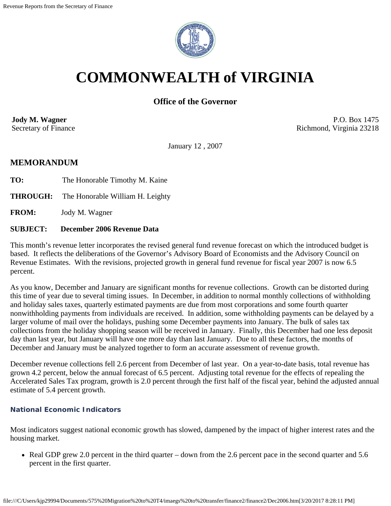

# **COMMONWEALTH of VIRGINIA**

# **Office of the Governor**

**Jody M. Wagner**  Secretary of Finance

P.O. Box 1475 Richmond, Virginia 23218

January 12 , 2007

# **MEMORANDUM**

**TO:** The Honorable Timothy M. Kaine

**THROUGH:** The Honorable William H. Leighty

**FROM:** Jody M. Wagner

#### **SUBJECT: December 2006 Revenue Data**

This month's revenue letter incorporates the revised general fund revenue forecast on which the introduced budget is based. It reflects the deliberations of the Governor's Advisory Board of Economists and the Advisory Council on Revenue Estimates. With the revisions, projected growth in general fund revenue for fiscal year 2007 is now 6.5 percent.

As you know, December and January are significant months for revenue collections. Growth can be distorted during this time of year due to several timing issues. In December, in addition to normal monthly collections of withholding and holiday sales taxes, quarterly estimated payments are due from most corporations and some fourth quarter nonwithholding payments from individuals are received. In addition, some withholding payments can be delayed by a larger volume of mail over the holidays, pushing some December payments into January. The bulk of sales tax collections from the holiday shopping season will be received in January. Finally, this December had one less deposit day than last year, but January will have one more day than last January. Due to all these factors, the months of December and January must be analyzed together to form an accurate assessment of revenue growth.

December revenue collections fell 2.6 percent from December of last year. On a year-to-date basis, total revenue has grown 4.2 percent, below the annual forecast of 6.5 percent. Adjusting total revenue for the effects of repealing the Accelerated Sales Tax program, growth is 2.0 percent through the first half of the fiscal year, behind the adjusted annual estimate of 5.4 percent growth.

## **National Economic Indicators**

Most indicators suggest national economic growth has slowed, dampened by the impact of higher interest rates and the housing market.

• Real GDP grew 2.0 percent in the third quarter – down from the 2.6 percent pace in the second quarter and 5.6 percent in the first quarter.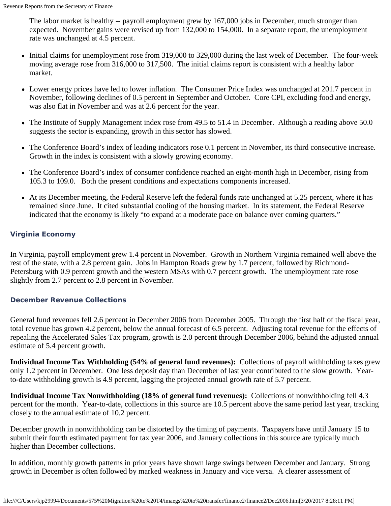The labor market is healthy -- payroll employment grew by 167,000 jobs in December, much stronger than expected. November gains were revised up from 132,000 to 154,000. In a separate report, the unemployment rate was unchanged at 4.5 percent.

- Initial claims for unemployment rose from 319,000 to 329,000 during the last week of December. The four-week moving average rose from 316,000 to 317,500. The initial claims report is consistent with a healthy labor market.
- Lower energy prices have led to lower inflation. The Consumer Price Index was unchanged at 201.7 percent in November, following declines of 0.5 percent in September and October. Core CPI, excluding food and energy, was also flat in November and was at 2.6 percent for the year.
- The Institute of Supply Management index rose from 49.5 to 51.4 in December. Although a reading above 50.0 suggests the sector is expanding, growth in this sector has slowed.
- The Conference Board's index of leading indicators rose 0.1 percent in November, its third consecutive increase. Growth in the index is consistent with a slowly growing economy.
- The Conference Board's index of consumer confidence reached an eight-month high in December, rising from 105.3 to 109.0. Both the present conditions and expectations components increased.
- At its December meeting, the Federal Reserve left the federal funds rate unchanged at 5.25 percent, where it has remained since June. It cited substantial cooling of the housing market. In its statement, the Federal Reserve indicated that the economy is likely "to expand at a moderate pace on balance over coming quarters."

## **Virginia Economy**

In Virginia, payroll employment grew 1.4 percent in November. Growth in Northern Virginia remained well above the rest of the state, with a 2.8 percent gain. Jobs in Hampton Roads grew by 1.7 percent, followed by Richmond-Petersburg with 0.9 percent growth and the western MSAs with 0.7 percent growth. The unemployment rate rose slightly from 2.7 percent to 2.8 percent in November.

## **December Revenue Collections**

General fund revenues fell 2.6 percent in December 2006 from December 2005. Through the first half of the fiscal year, total revenue has grown 4.2 percent, below the annual forecast of 6.5 percent. Adjusting total revenue for the effects of repealing the Accelerated Sales Tax program, growth is 2.0 percent through December 2006, behind the adjusted annual estimate of 5.4 percent growth.

**Individual Income Tax Withholding (54% of general fund revenues):** Collections of payroll withholding taxes grew only 1.2 percent in December. One less deposit day than December of last year contributed to the slow growth. Yearto-date withholding growth is 4.9 percent, lagging the projected annual growth rate of 5.7 percent.

**Individual Income Tax Nonwithholding (18% of general fund revenues):** Collections of nonwithholding fell 4.3 percent for the month. Year-to-date, collections in this source are 10.5 percent above the same period last year, tracking closely to the annual estimate of 10.2 percent.

December growth in nonwithholding can be distorted by the timing of payments. Taxpayers have until January 15 to submit their fourth estimated payment for tax year 2006, and January collections in this source are typically much higher than December collections.

In addition, monthly growth patterns in prior years have shown large swings between December and January. Strong growth in December is often followed by marked weakness in January and vice versa. A clearer assessment of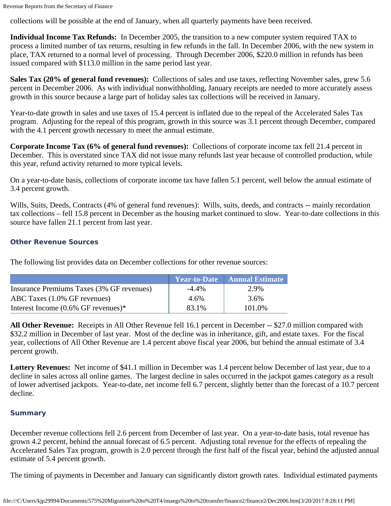collections will be possible at the end of January, when all quarterly payments have been received.

**Individual Income Tax Refunds:** In December 2005, the transition to a new computer system required TAX to process a limited number of tax returns, resulting in few refunds in the fall. In December 2006, with the new system in place, TAX returned to a normal level of processing. Through December 2006, \$220.0 million in refunds has been issued compared with \$113.0 million in the same period last year.

**Sales Tax (20% of general fund revenues):** Collections of sales and use taxes, reflecting November sales, grew 5.6 percent in December 2006. As with individual nonwithholding, January receipts are needed to more accurately assess growth in this source because a large part of holiday sales tax collections will be received in January.

Year-to-date growth in sales and use taxes of 15.4 percent is inflated due to the repeal of the Accelerated Sales Tax program. Adjusting for the repeal of this program, growth in this source was 3.1 percent through December, compared with the 4.1 percent growth necessary to meet the annual estimate.

**Corporate Income Tax (6% of general fund revenues):** Collections of corporate income tax fell 21.4 percent in December. This is overstated since TAX did not issue many refunds last year because of controlled production, while this year, refund activity returned to more typical levels.

On a year-to-date basis, collections of corporate income tax have fallen 5.1 percent, well below the annual estimate of 3.4 percent growth.

Wills, Suits, Deeds, Contracts (4% of general fund revenues): Wills, suits, deeds, and contracts -- mainly recordation tax collections – fell 15.8 percent in December as the housing market continued to slow. Year-to-date collections in this source have fallen 21.1 percent from last year.

#### **Other Revenue Sources**

The following list provides data on December collections for other revenue sources:

|                                           |          | Year-to-Date   Annual Estimate |
|-------------------------------------------|----------|--------------------------------|
| Insurance Premiums Taxes (3% GF revenues) | $-4.4\%$ | 2.9%                           |
| ABC Taxes (1.0% GF revenues)              | 4.6%     | 3.6%                           |
| Interest Income $(0.6\%$ GF revenues)*    | 83.1%    | 101.0%                         |

**All Other Revenue:** Receipts in All Other Revenue fell 16.1 percent in December -- \$27.0 million compared with \$32.2 million in December of last year. Most of the decline was in inheritance, gift, and estate taxes. For the fiscal year, collections of All Other Revenue are 1.4 percent above fiscal year 2006, but behind the annual estimate of 3.4 percent growth.

**Lottery Revenues:** Net income of \$41.1 million in December was 1.4 percent below December of last year, due to a decline in sales across all online games. The largest decline in sales occurred in the jackpot games category as a result of lower advertised jackpots. Year-to-date, net income fell 6.7 percent, slightly better than the forecast of a 10.7 percent decline.

#### **Summary**

December revenue collections fell 2.6 percent from December of last year. On a year-to-date basis, total revenue has grown 4.2 percent, behind the annual forecast of 6.5 percent. Adjusting total revenue for the effects of repealing the Accelerated Sales Tax program, growth is 2.0 percent through the first half of the fiscal year, behind the adjusted annual estimate of 5.4 percent growth.

The timing of payments in December and January can significantly distort growth rates. Individual estimated payments